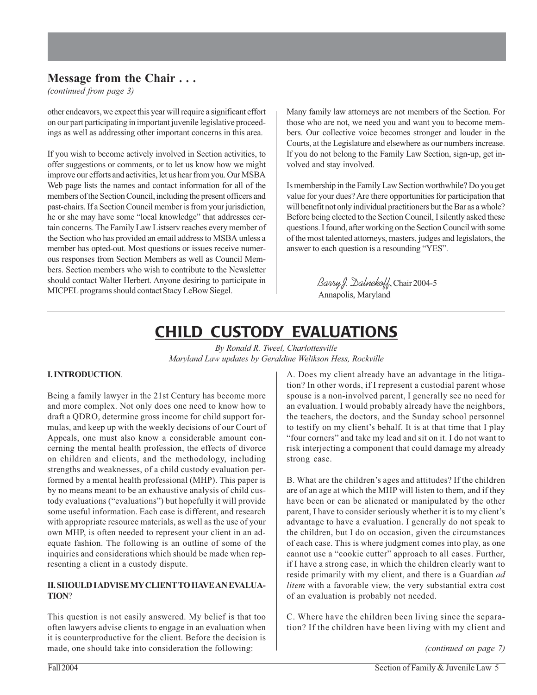### **Message from the Chair . . .**

*(continued from page 3)*

other endeavors, we expect this year will require a significant effort on our part participating in important juvenile legislative proceedings as well as addressing other important concerns in this area.

If you wish to become actively involved in Section activities, to offer suggestions or comments, or to let us know how we might improve our efforts and activities, let us hear from you. Our MSBA Web page lists the names and contact information for all of the members of the Section Council, including the present officers and past-chairs. If a Section Council member is from your jurisdiction, he or she may have some "local knowledge" that addresses certain concerns. The Family Law Listserv reaches every member of the Section who has provided an email address to MSBA unless a member has opted-out. Most questions or issues receive numerous responses from Section Members as well as Council Members. Section members who wish to contribute to the Newsletter should contact Walter Herbert. Anyone desiring to participate in MICPEL programs should contact Stacy LeBow Siegel.

Many family law attorneys are not members of the Section. For those who are not, we need you and want you to become members. Our collective voice becomes stronger and louder in the Courts, at the Legislature and elsewhere as our numbers increase. If you do not belong to the Family Law Section, sign-up, get involved and stay involved.

Is membership in the Family Law Section worthwhile? Do you get value for your dues? Are there opportunities for participation that will benefit not only individual practitioners but the Bar as a whole? Before being elected to the Section Council, I silently asked these questions. I found, after working on the Section Council with some of the most talented attorneys, masters, judges and legislators, the answer to each question is a resounding "YES".

> Barry J. Dalnekoff, Chair 2004-5 Annapolis, Maryland

# CHILD CUSTODY EVALUATIONS

*By Ronald R. Tweel, Charlottesville Maryland Law updates by Geraldine Welikson Hess, Rockville*

#### **I. INTRODUCTION**.

Being a family lawyer in the 21st Century has become more and more complex. Not only does one need to know how to draft a QDRO, determine gross income for child support formulas, and keep up with the weekly decisions of our Court of Appeals, one must also know a considerable amount concerning the mental health profession, the effects of divorce on children and clients, and the methodology, including strengths and weaknesses, of a child custody evaluation performed by a mental health professional (MHP). This paper is by no means meant to be an exhaustive analysis of child custody evaluations ("evaluations") but hopefully it will provide some useful information. Each case is different, and research with appropriate resource materials, as well as the use of your own MHP, is often needed to represent your client in an adequate fashion. The following is an outline of some of the inquiries and considerations which should be made when representing a client in a custody dispute.

#### **II. SHOULD I ADVISE MY CLIENT TO HAVE AN EVALUA-TION**?

This question is not easily answered. My belief is that too often lawyers advise clients to engage in an evaluation when it is counterproductive for the client. Before the decision is made, one should take into consideration the following:

A. Does my client already have an advantage in the litigation? In other words, if I represent a custodial parent whose spouse is a non-involved parent, I generally see no need for an evaluation. I would probably already have the neighbors, the teachers, the doctors, and the Sunday school personnel to testify on my client's behalf. It is at that time that I play "four corners" and take my lead and sit on it. I do not want to risk interjecting a component that could damage my already strong case.

B. What are the children's ages and attitudes? If the children are of an age at which the MHP will listen to them, and if they have been or can be alienated or manipulated by the other parent, I have to consider seriously whether it is to my client's advantage to have a evaluation. I generally do not speak to the children, but I do on occasion, given the circumstances of each case. This is where judgment comes into play, as one cannot use a "cookie cutter" approach to all cases. Further, if I have a strong case, in which the children clearly want to reside primarily with my client, and there is a Guardian *ad litem* with a favorable view, the very substantial extra cost of an evaluation is probably not needed.

C. Where have the children been living since the separation? If the children have been living with my client and

*(continued on page 7)*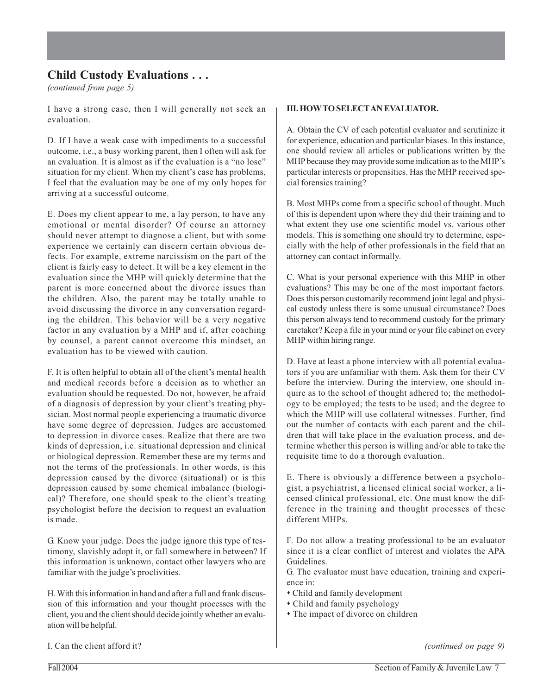*(continued from page 5)*

I have a strong case, then I will generally not seek an evaluation.

D. If I have a weak case with impediments to a successful outcome, i.e., a busy working parent, then I often will ask for an evaluation. It is almost as if the evaluation is a "no lose" situation for my client. When my client's case has problems, I feel that the evaluation may be one of my only hopes for arriving at a successful outcome.

E. Does my client appear to me, a lay person, to have any emotional or mental disorder? Of course an attorney should never attempt to diagnose a client, but with some experience we certainly can discern certain obvious defects. For example, extreme narcissism on the part of the client is fairly easy to detect. It will be a key element in the evaluation since the MHP will quickly determine that the parent is more concerned about the divorce issues than the children. Also, the parent may be totally unable to avoid discussing the divorce in any conversation regarding the children. This behavior will be a very negative factor in any evaluation by a MHP and if, after coaching by counsel, a parent cannot overcome this mindset, an evaluation has to be viewed with caution.

F. It is often helpful to obtain all of the client's mental health and medical records before a decision as to whether an evaluation should be requested. Do not, however, be afraid of a diagnosis of depression by your client's treating physician. Most normal people experiencing a traumatic divorce have some degree of depression. Judges are accustomed to depression in divorce cases. Realize that there are two kinds of depression, i.e. situational depression and clinical or biological depression. Remember these are my terms and not the terms of the professionals. In other words, is this depression caused by the divorce (situational) or is this depression caused by some chemical imbalance (biological)? Therefore, one should speak to the client's treating psychologist before the decision to request an evaluation is made.

G. Know your judge. Does the judge ignore this type of testimony, slavishly adopt it, or fall somewhere in between? If this information is unknown, contact other lawyers who are familiar with the judge's proclivities.

H. With this information in hand and after a full and frank discussion of this information and your thought processes with the client, you and the client should decide jointly whether an evaluation will be helpful.

#### **III. HOW TO SELECT AN EVALUATOR.**

A. Obtain the CV of each potential evaluator and scrutinize it for experience, education and particular biases. In this instance, one should review all articles or publications written by the MHP because they may provide some indication as to the MHP's particular interests or propensities. Has the MHP received special forensics training?

B. Most MHPs come from a specific school of thought. Much of this is dependent upon where they did their training and to what extent they use one scientific model vs. various other models. This is something one should try to determine, especially with the help of other professionals in the field that an attorney can contact informally.

C. What is your personal experience with this MHP in other evaluations? This may be one of the most important factors. Does this person customarily recommend joint legal and physical custody unless there is some unusual circumstance? Does this person always tend to recommend custody for the primary caretaker? Keep a file in your mind or your file cabinet on every MHP within hiring range.

D. Have at least a phone interview with all potential evaluators if you are unfamiliar with them. Ask them for their CV before the interview. During the interview, one should inquire as to the school of thought adhered to; the methodology to be employed; the tests to be used; and the degree to which the MHP will use collateral witnesses. Further, find out the number of contacts with each parent and the children that will take place in the evaluation process, and determine whether this person is willing and/or able to take the requisite time to do a thorough evaluation.

E. There is obviously a difference between a psychologist, a psychiatrist, a licensed clinical social worker, a licensed clinical professional, etc. One must know the difference in the training and thought processes of these different MHPs.

F. Do not allow a treating professional to be an evaluator since it is a clear conflict of interest and violates the APA Guidelines.

G. The evaluator must have education, training and experience in:

- Child and family development
- Child and family psychology
- The impact of divorce on children

I. Can the client afford it?

*(continued on page 9)*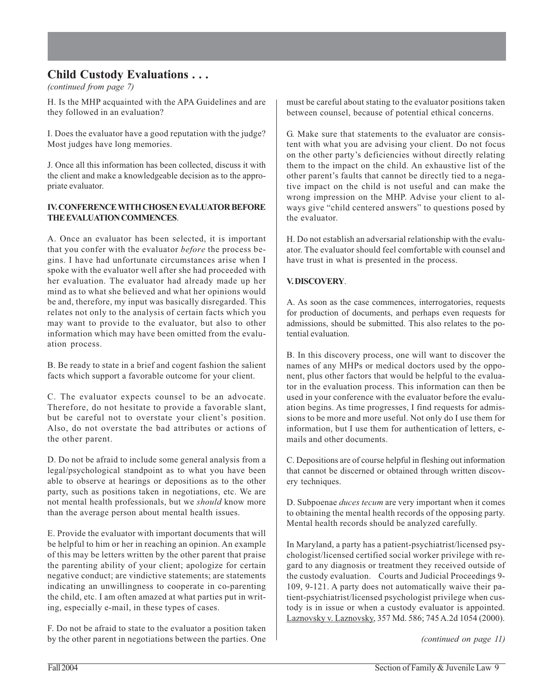*(continued from page 7)*

H. Is the MHP acquainted with the APA Guidelines and are they followed in an evaluation?

I. Does the evaluator have a good reputation with the judge? Most judges have long memories.

J. Once all this information has been collected, discuss it with the client and make a knowledgeable decision as to the appropriate evaluator.

#### **IV. CONFERENCE WITH CHOSEN EVALUATOR BEFORE THE EVALUATION COMMENCES**.

A. Once an evaluator has been selected, it is important that you confer with the evaluator *before* the process begins. I have had unfortunate circumstances arise when I spoke with the evaluator well after she had proceeded with her evaluation. The evaluator had already made up her mind as to what she believed and what her opinions would be and, therefore, my input was basically disregarded. This relates not only to the analysis of certain facts which you may want to provide to the evaluator, but also to other information which may have been omitted from the evaluation process.

B. Be ready to state in a brief and cogent fashion the salient facts which support a favorable outcome for your client.

C. The evaluator expects counsel to be an advocate. Therefore, do not hesitate to provide a favorable slant, but be careful not to overstate your client's position. Also, do not overstate the bad attributes or actions of the other parent.

D. Do not be afraid to include some general analysis from a legal/psychological standpoint as to what you have been able to observe at hearings or depositions as to the other party, such as positions taken in negotiations, etc. We are not mental health professionals, but we *should* know more than the average person about mental health issues.

E. Provide the evaluator with important documents that will be helpful to him or her in reaching an opinion. An example of this may be letters written by the other parent that praise the parenting ability of your client; apologize for certain negative conduct; are vindictive statements; are statements indicating an unwillingness to cooperate in co-parenting the child, etc. I am often amazed at what parties put in writing, especially e-mail, in these types of cases.

F. Do not be afraid to state to the evaluator a position taken by the other parent in negotiations between the parties. One must be careful about stating to the evaluator positions taken between counsel, because of potential ethical concerns.

G. Make sure that statements to the evaluator are consistent with what you are advising your client. Do not focus on the other party's deficiencies without directly relating them to the impact on the child. An exhaustive list of the other parent's faults that cannot be directly tied to a negative impact on the child is not useful and can make the wrong impression on the MHP. Advise your client to always give "child centered answers" to questions posed by the evaluator.

H. Do not establish an adversarial relationship with the evaluator. The evaluator should feel comfortable with counsel and have trust in what is presented in the process.

#### **V. DISCOVERY**.

A. As soon as the case commences, interrogatories, requests for production of documents, and perhaps even requests for admissions, should be submitted. This also relates to the potential evaluation.

B. In this discovery process, one will want to discover the names of any MHPs or medical doctors used by the opponent, plus other factors that would be helpful to the evaluator in the evaluation process. This information can then be used in your conference with the evaluator before the evaluation begins. As time progresses, I find requests for admissions to be more and more useful. Not only do I use them for information, but I use them for authentication of letters, emails and other documents.

C. Depositions are of course helpful in fleshing out information that cannot be discerned or obtained through written discovery techniques.

D. Subpoenae *duces tecum* are very important when it comes to obtaining the mental health records of the opposing party. Mental health records should be analyzed carefully.

In Maryland, a party has a patient-psychiatrist/licensed psychologist/licensed certified social worker privilege with regard to any diagnosis or treatment they received outside of the custody evaluation. Courts and Judicial Proceedings 9- 109, 9-121. A party does not automatically waive their patient-psychiatrist/licensed psychologist privilege when custody is in issue or when a custody evaluator is appointed. Laznovsky v. Laznovsky, 357 Md. 586; 745 A.2d 1054 (2000).

*(continued on page 11)*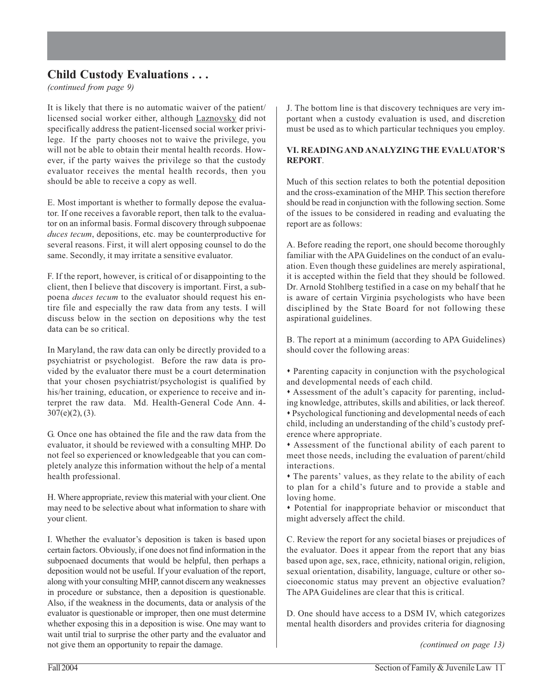*(continued from page 9)*

It is likely that there is no automatic waiver of the patient/ licensed social worker either, although Laznovsky did not specifically address the patient-licensed social worker privilege. If the party chooses not to waive the privilege, you will not be able to obtain their mental health records. However, if the party waives the privilege so that the custody evaluator receives the mental health records, then you should be able to receive a copy as well.

E. Most important is whether to formally depose the evaluator. If one receives a favorable report, then talk to the evaluator on an informal basis. Formal discovery through subpoenae *duces tecum*, depositions, etc. may be counterproductive for several reasons. First, it will alert opposing counsel to do the same. Secondly, it may irritate a sensitive evaluator.

F. If the report, however, is critical of or disappointing to the client, then I believe that discovery is important. First, a subpoena *duces tecum* to the evaluator should request his entire file and especially the raw data from any tests. I will discuss below in the section on depositions why the test data can be so critical.

In Maryland, the raw data can only be directly provided to a psychiatrist or psychologist. Before the raw data is provided by the evaluator there must be a court determination that your chosen psychiatrist/psychologist is qualified by his/her training, education, or experience to receive and interpret the raw data. Md. Health-General Code Ann. 4- 307(e)(2), (3).

G. Once one has obtained the file and the raw data from the evaluator, it should be reviewed with a consulting MHP. Do not feel so experienced or knowledgeable that you can completely analyze this information without the help of a mental health professional.

H. Where appropriate, review this material with your client. One may need to be selective about what information to share with your client.

I. Whether the evaluator's deposition is taken is based upon certain factors. Obviously, if one does not find information in the subpoenaed documents that would be helpful, then perhaps a deposition would not be useful. If your evaluation of the report, along with your consulting MHP, cannot discern any weaknesses in procedure or substance, then a deposition is questionable. Also, if the weakness in the documents, data or analysis of the evaluator is questionable or improper, then one must determine whether exposing this in a deposition is wise. One may want to wait until trial to surprise the other party and the evaluator and not give them an opportunity to repair the damage.

J. The bottom line is that discovery techniques are very important when a custody evaluation is used, and discretion must be used as to which particular techniques you employ.

#### **VI. READING AND ANALYZING THE EVALUATOR'S REPORT**.

Much of this section relates to both the potential deposition and the cross-examination of the MHP. This section therefore should be read in conjunction with the following section. Some of the issues to be considered in reading and evaluating the report are as follows:

A. Before reading the report, one should become thoroughly familiar with the APA Guidelines on the conduct of an evaluation. Even though these guidelines are merely aspirational, it is accepted within the field that they should be followed. Dr. Arnold Stohlberg testified in a case on my behalf that he is aware of certain Virginia psychologists who have been disciplined by the State Board for not following these aspirational guidelines.

B. The report at a minimum (according to APA Guidelines) should cover the following areas:

- Parenting capacity in conjunction with the psychological and developmental needs of each child.
- Assessment of the adult's capacity for parenting, including knowledge, attributes, skills and abilities, or lack thereof.
- Psychological functioning and developmental needs of each child, including an understanding of the child's custody preference where appropriate.
- Assessment of the functional ability of each parent to meet those needs, including the evaluation of parent/child interactions.

 The parents' values, as they relate to the ability of each to plan for a child's future and to provide a stable and loving home.

 Potential for inappropriate behavior or misconduct that might adversely affect the child.

C. Review the report for any societal biases or prejudices of the evaluator. Does it appear from the report that any bias based upon age, sex, race, ethnicity, national origin, religion, sexual orientation, disability, language, culture or other socioeconomic status may prevent an objective evaluation? The APA Guidelines are clear that this is critical.

D. One should have access to a DSM IV, which categorizes mental health disorders and provides criteria for diagnosing

*(continued on page 13)*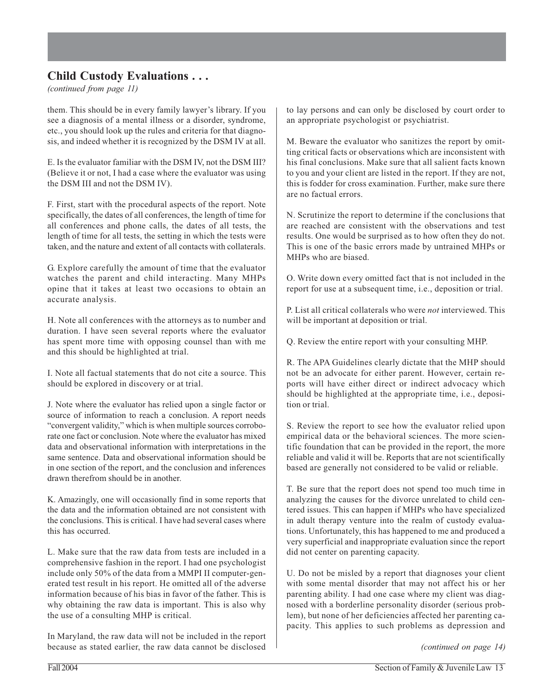*(continued from page 11)*

them. This should be in every family lawyer's library. If you see a diagnosis of a mental illness or a disorder, syndrome, etc., you should look up the rules and criteria for that diagnosis, and indeed whether it is recognized by the DSM IV at all.

E. Is the evaluator familiar with the DSM IV, not the DSM III? (Believe it or not, I had a case where the evaluator was using the DSM III and not the DSM IV).

F. First, start with the procedural aspects of the report. Note specifically, the dates of all conferences, the length of time for all conferences and phone calls, the dates of all tests, the length of time for all tests, the setting in which the tests were taken, and the nature and extent of all contacts with collaterals.

G. Explore carefully the amount of time that the evaluator watches the parent and child interacting. Many MHPs opine that it takes at least two occasions to obtain an accurate analysis.

H. Note all conferences with the attorneys as to number and duration. I have seen several reports where the evaluator has spent more time with opposing counsel than with me and this should be highlighted at trial.

I. Note all factual statements that do not cite a source. This should be explored in discovery or at trial.

J. Note where the evaluator has relied upon a single factor or source of information to reach a conclusion. A report needs "convergent validity," which is when multiple sources corroborate one fact or conclusion. Note where the evaluator has mixed data and observational information with interpretations in the same sentence. Data and observational information should be in one section of the report, and the conclusion and inferences drawn therefrom should be in another.

K. Amazingly, one will occasionally find in some reports that the data and the information obtained are not consistent with the conclusions. This is critical. I have had several cases where this has occurred.

L. Make sure that the raw data from tests are included in a comprehensive fashion in the report. I had one psychologist include only 50% of the data from a MMPI II computer-generated test result in his report. He omitted all of the adverse information because of his bias in favor of the father. This is why obtaining the raw data is important. This is also why the use of a consulting MHP is critical.

In Maryland, the raw data will not be included in the report because as stated earlier, the raw data cannot be disclosed to lay persons and can only be disclosed by court order to an appropriate psychologist or psychiatrist.

M. Beware the evaluator who sanitizes the report by omitting critical facts or observations which are inconsistent with his final conclusions. Make sure that all salient facts known to you and your client are listed in the report. If they are not, this is fodder for cross examination. Further, make sure there are no factual errors.

N. Scrutinize the report to determine if the conclusions that are reached are consistent with the observations and test results. One would be surprised as to how often they do not. This is one of the basic errors made by untrained MHPs or MHPs who are biased.

O. Write down every omitted fact that is not included in the report for use at a subsequent time, i.e., deposition or trial.

P. List all critical collaterals who were *not* interviewed. This will be important at deposition or trial.

Q. Review the entire report with your consulting MHP.

R. The APA Guidelines clearly dictate that the MHP should not be an advocate for either parent. However, certain reports will have either direct or indirect advocacy which should be highlighted at the appropriate time, i.e., deposition or trial.

S. Review the report to see how the evaluator relied upon empirical data or the behavioral sciences. The more scientific foundation that can be provided in the report, the more reliable and valid it will be. Reports that are not scientifically based are generally not considered to be valid or reliable.

T. Be sure that the report does not spend too much time in analyzing the causes for the divorce unrelated to child centered issues. This can happen if MHPs who have specialized in adult therapy venture into the realm of custody evaluations. Unfortunately, this has happened to me and produced a very superficial and inappropriate evaluation since the report did not center on parenting capacity.

U. Do not be misled by a report that diagnoses your client with some mental disorder that may not affect his or her parenting ability. I had one case where my client was diagnosed with a borderline personality disorder (serious problem), but none of her deficiencies affected her parenting capacity. This applies to such problems as depression and

*(continued on page 14)*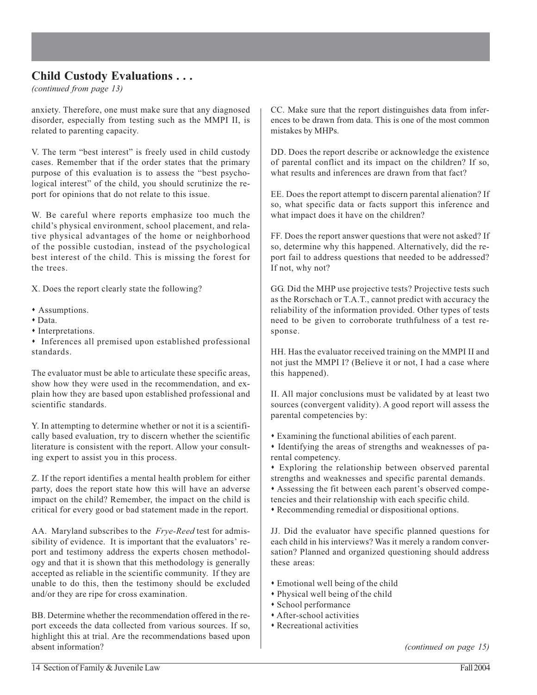*(continued from page 13)*

anxiety. Therefore, one must make sure that any diagnosed disorder, especially from testing such as the MMPI II, is related to parenting capacity.

V. The term "best interest" is freely used in child custody cases. Remember that if the order states that the primary purpose of this evaluation is to assess the "best psychological interest" of the child, you should scrutinize the report for opinions that do not relate to this issue.

W. Be careful where reports emphasize too much the child's physical environment, school placement, and relative physical advantages of the home or neighborhood of the possible custodian, instead of the psychological best interest of the child. This is missing the forest for the trees.

X. Does the report clearly state the following?

- Assumptions.
- Data.
- Interpretations.
- Inferences all premised upon established professional standards.

The evaluator must be able to articulate these specific areas, show how they were used in the recommendation, and explain how they are based upon established professional and scientific standards.

Y. In attempting to determine whether or not it is a scientifically based evaluation, try to discern whether the scientific literature is consistent with the report. Allow your consulting expert to assist you in this process.

Z. If the report identifies a mental health problem for either party, does the report state how this will have an adverse impact on the child? Remember, the impact on the child is critical for every good or bad statement made in the report.

AA. Maryland subscribes to the *Frye-Reed* test for admissibility of evidence. It is important that the evaluators' report and testimony address the experts chosen methodology and that it is shown that this methodology is generally accepted as reliable in the scientific community. If they are unable to do this, then the testimony should be excluded and/or they are ripe for cross examination.

BB. Determine whether the recommendation offered in the report exceeds the data collected from various sources. If so, highlight this at trial. Are the recommendations based upon absent information?

CC. Make sure that the report distinguishes data from inferences to be drawn from data. This is one of the most common mistakes by MHPs.

DD. Does the report describe or acknowledge the existence of parental conflict and its impact on the children? If so, what results and inferences are drawn from that fact?

EE. Does the report attempt to discern parental alienation? If so, what specific data or facts support this inference and what impact does it have on the children?

FF. Does the report answer questions that were not asked? If so, determine why this happened. Alternatively, did the report fail to address questions that needed to be addressed? If not, why not?

GG. Did the MHP use projective tests? Projective tests such as the Rorschach or T.A.T., cannot predict with accuracy the reliability of the information provided. Other types of tests need to be given to corroborate truthfulness of a test response.

HH. Has the evaluator received training on the MMPI II and not just the MMPI I? (Believe it or not, I had a case where this happened).

II. All major conclusions must be validated by at least two sources (convergent validity). A good report will assess the parental competencies by:

- Examining the functional abilities of each parent.
- Identifying the areas of strengths and weaknesses of parental competency.
- Exploring the relationship between observed parental strengths and weaknesses and specific parental demands.

 Assessing the fit between each parent's observed competencies and their relationship with each specific child.

Recommending remedial or dispositional options.

JJ. Did the evaluator have specific planned questions for each child in his interviews? Was it merely a random conversation? Planned and organized questioning should address these areas:

- Emotional well being of the child
- Physical well being of the child
- School performance
- After-school activities
- Recreational activities

*(continued on page 15)*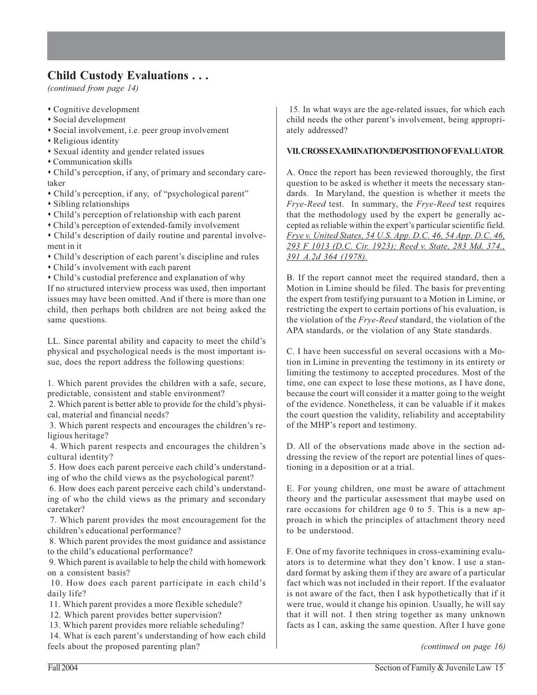*(continued from page 14)*

- Cognitive development
- Social development
- Social involvement, i.e. peer group involvement
- Religious identity
- Sexual identity and gender related issues
- Communication skills

 Child's perception, if any, of primary and secondary caretaker

- Child's perception, if any, of "psychological parent"
- Sibling relationships
- Child's perception of relationship with each parent
- Child's perception of extended-family involvement
- Child's description of daily routine and parental involvement in it
- Child's description of each parent's discipline and rules
- Child's involvement with each parent
- Child's custodial preference and explanation of why

If no structured interview process was used, then important issues may have been omitted. And if there is more than one child, then perhaps both children are not being asked the same questions.

LL. Since parental ability and capacity to meet the child's physical and psychological needs is the most important issue, does the report address the following questions:

1. Which parent provides the children with a safe, secure, predictable, consistent and stable environment?

 2. Which parent is better able to provide for the child's physical, material and financial needs?

 3. Which parent respects and encourages the children's religious heritage?

 4. Which parent respects and encourages the children's cultural identity?

 5. How does each parent perceive each child's understanding of who the child views as the psychological parent?

 6. How does each parent perceive each child's understanding of who the child views as the primary and secondary caretaker?

 7. Which parent provides the most encouragement for the children's educational performance?

 8. Which parent provides the most guidance and assistance to the child's educational performance?

 9. Which parent is available to help the child with homework on a consistent basis?

 10. How does each parent participate in each child's daily life?

11. Which parent provides a more flexible schedule?

12. Which parent provides better supervision?

13. Which parent provides more reliable scheduling?

 14. What is each parent's understanding of how each child feels about the proposed parenting plan?

 15. In what ways are the age-related issues, for which each child needs the other parent's involvement, being appropriately addressed?

#### **VII. CROSS EXAMINATION/DEPOSITION OF EVALUATOR**.

A. Once the report has been reviewed thoroughly, the first question to be asked is whether it meets the necessary standards. In Maryland, the question is whether it meets the *Frye-Reed* test. In summary, the *Frye-Reed* test requires that the methodology used by the expert be generally accepted as reliable within the expert's particular scientific field. *Frye v. United States, 54 U.S. App. D.C. 46, 54 App. D.C. 46, 293 F 1013 (D.C. Cir. 1923); Reed v. State, 283 Md. 374., 391 A.2d 364 (1978).*

B. If the report cannot meet the required standard, then a Motion in Limine should be filed. The basis for preventing the expert from testifying pursuant to a Motion in Limine, or restricting the expert to certain portions of his evaluation, is the violation of the *Frye-Reed* standard, the violation of the APA standards, or the violation of any State standards.

C. I have been successful on several occasions with a Motion in Limine in preventing the testimony in its entirety or limiting the testimony to accepted procedures. Most of the time, one can expect to lose these motions, as I have done, because the court will consider it a matter going to the weight of the evidence. Nonetheless, it can be valuable if it makes the court question the validity, reliability and acceptability of the MHP's report and testimony.

D. All of the observations made above in the section addressing the review of the report are potential lines of questioning in a deposition or at a trial.

E. For young children, one must be aware of attachment theory and the particular assessment that maybe used on rare occasions for children age 0 to 5. This is a new approach in which the principles of attachment theory need to be understood.

F. One of my favorite techniques in cross-examining evaluators is to determine what they don't know. I use a standard format by asking them if they are aware of a particular fact which was not included in their report. If the evaluator is not aware of the fact, then I ask hypothetically that if it were true, would it change his opinion. Usually, he will say that it will not. I then string together as many unknown facts as I can, asking the same question. After I have gone

*(continued on page 16)*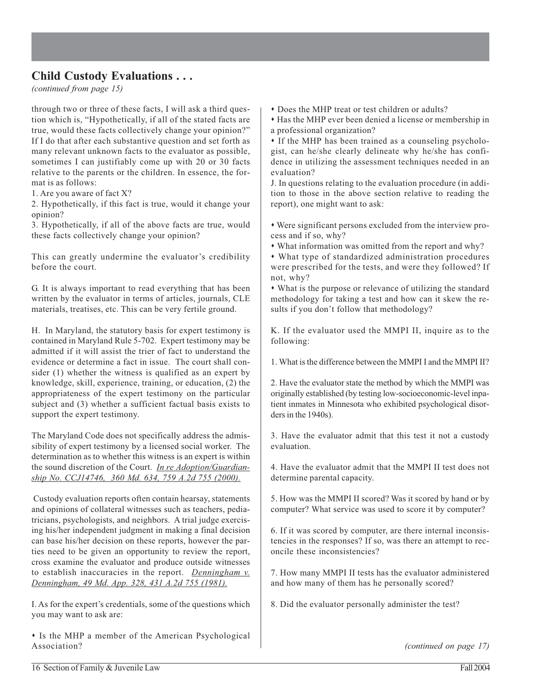*(continued from page 15)*

through two or three of these facts, I will ask a third question which is, "Hypothetically, if all of the stated facts are true, would these facts collectively change your opinion?" If I do that after each substantive question and set forth as many relevant unknown facts to the evaluator as possible, sometimes I can justifiably come up with 20 or 30 facts relative to the parents or the children. In essence, the format is as follows:

1. Are you aware of fact X?

2. Hypothetically, if this fact is true, would it change your opinion?

3. Hypothetically, if all of the above facts are true, would these facts collectively change your opinion?

This can greatly undermine the evaluator's credibility before the court.

G. It is always important to read everything that has been written by the evaluator in terms of articles, journals, CLE materials, treatises, etc. This can be very fertile ground.

H. In Maryland, the statutory basis for expert testimony is contained in Maryland Rule 5-702. Expert testimony may be admitted if it will assist the trier of fact to understand the evidence or determine a fact in issue. The court shall consider (1) whether the witness is qualified as an expert by knowledge, skill, experience, training, or education, (2) the appropriateness of the expert testimony on the particular subject and (3) whether a sufficient factual basis exists to support the expert testimony.

The Maryland Code does not specifically address the admissibility of expert testimony by a licensed social worker. The determination as to whether this witness is an expert is within the sound discretion of the Court. *In re Adoption/Guardianship No. CCJ14746, 360 Md. 634, 759 A.2d 755 (2000).*

 Custody evaluation reports often contain hearsay, statements and opinions of collateral witnesses such as teachers, pediatricians, psychologists, and neighbors. A trial judge exercising his/her independent judgment in making a final decision can base his/her decision on these reports, however the parties need to be given an opportunity to review the report, cross examine the evaluator and produce outside witnesses to establish inaccuracies in the report. *Denningham v. Denningham, 49 Md. App. 328, 431 A.2d 755 (1981).*

I. As for the expert's credentials, some of the questions which you may want to ask are:

 Is the MHP a member of the American Psychological Association?

Does the MHP treat or test children or adults?

 Has the MHP ever been denied a license or membership in a professional organization?

If the MHP has been trained as a counseling psychologist, can he/she clearly delineate why he/she has confidence in utilizing the assessment techniques needed in an evaluation?

J. In questions relating to the evaluation procedure (in addition to those in the above section relative to reading the report), one might want to ask:

 Were significant persons excluded from the interview process and if so, why?

What information was omitted from the report and why?

 What type of standardized administration procedures were prescribed for the tests, and were they followed? If not, why?

 What is the purpose or relevance of utilizing the standard methodology for taking a test and how can it skew the results if you don't follow that methodology?

K. If the evaluator used the MMPI II, inquire as to the following:

1. What is the difference between the MMPI I and the MMPI II?

2. Have the evaluator state the method by which the MMPI was originally established (by testing low-socioeconomic-level inpatient inmates in Minnesota who exhibited psychological disorders in the 1940s).

3. Have the evaluator admit that this test it not a custody evaluation.

4. Have the evaluator admit that the MMPI II test does not determine parental capacity.

5. How was the MMPI II scored? Was it scored by hand or by computer? What service was used to score it by computer?

6. If it was scored by computer, are there internal inconsistencies in the responses? If so, was there an attempt to reconcile these inconsistencies?

7. How many MMPI II tests has the evaluator administered and how many of them has he personally scored?

8. Did the evaluator personally administer the test?

*(continued on page 17)*